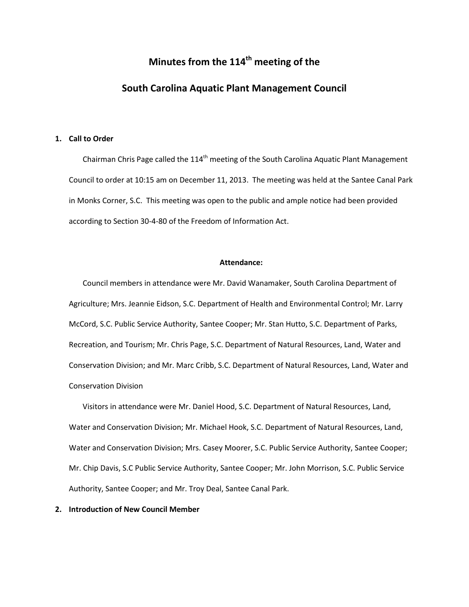# **Minutes from the 114th meeting of the**

# **South Carolina Aquatic Plant Management Council**

# **1. Call to Order**

Chairman Chris Page called the  $114<sup>th</sup>$  meeting of the South Carolina Aquatic Plant Management Council to order at 10:15 am on December 11, 2013. The meeting was held at the Santee Canal Park in Monks Corner, S.C. This meeting was open to the public and ample notice had been provided according to Section 30-4-80 of the Freedom of Information Act.

# **Attendance:**

Council members in attendance were Mr. David Wanamaker, South Carolina Department of Agriculture; Mrs. Jeannie Eidson, S.C. Department of Health and Environmental Control; Mr. Larry McCord, S.C. Public Service Authority, Santee Cooper; Mr. Stan Hutto, S.C. Department of Parks, Recreation, and Tourism; Mr. Chris Page, S.C. Department of Natural Resources, Land, Water and Conservation Division; and Mr. Marc Cribb, S.C. Department of Natural Resources, Land, Water and Conservation Division

Visitors in attendance were Mr. Daniel Hood, S.C. Department of Natural Resources, Land, Water and Conservation Division; Mr. Michael Hook, S.C. Department of Natural Resources, Land, Water and Conservation Division; Mrs. Casey Moorer, S.C. Public Service Authority, Santee Cooper; Mr. Chip Davis, S.C Public Service Authority, Santee Cooper; Mr. John Morrison, S.C. Public Service Authority, Santee Cooper; and Mr. Troy Deal, Santee Canal Park.

# **2. Introduction of New Council Member**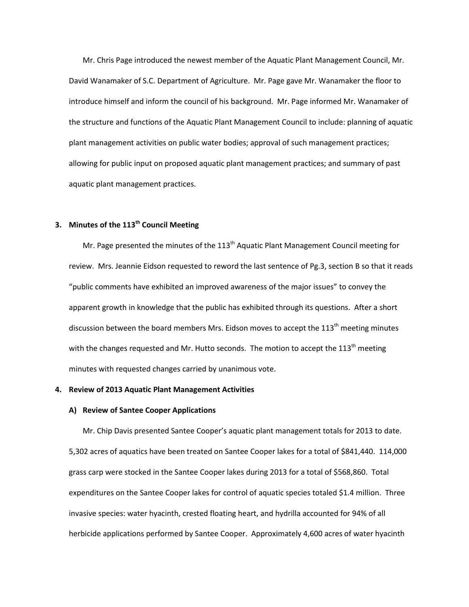Mr. Chris Page introduced the newest member of the Aquatic Plant Management Council, Mr. David Wanamaker of S.C. Department of Agriculture. Mr. Page gave Mr. Wanamaker the floor to introduce himself and inform the council of his background. Mr. Page informed Mr. Wanamaker of the structure and functions of the Aquatic Plant Management Council to include: planning of aquatic plant management activities on public water bodies; approval of such management practices; allowing for public input on proposed aquatic plant management practices; and summary of past aquatic plant management practices.

# **3. Minutes of the 113th Council Meeting**

Mr. Page presented the minutes of the  $113<sup>th</sup>$  Aquatic Plant Management Council meeting for review. Mrs. Jeannie Eidson requested to reword the last sentence of Pg.3, section B so that it reads "public comments have exhibited an improved awareness of the major issues" to convey the apparent growth in knowledge that the public has exhibited through its questions. After a short discussion between the board members Mrs. Eidson moves to accept the 113<sup>th</sup> meeting minutes with the changes requested and Mr. Hutto seconds. The motion to accept the  $113<sup>th</sup>$  meeting minutes with requested changes carried by unanimous vote.

## **4. Review of 2013 Aquatic Plant Management Activities**

# **A) Review of Santee Cooper Applications**

Mr. Chip Davis presented Santee Cooper's aquatic plant management totals for 2013 to date. 5,302 acres of aquatics have been treated on Santee Cooper lakes for a total of \$841,440. 114,000 grass carp were stocked in the Santee Cooper lakes during 2013 for a total of \$568,860. Total expenditures on the Santee Cooper lakes for control of aquatic species totaled \$1.4 million. Three invasive species: water hyacinth, crested floating heart, and hydrilla accounted for 94% of all herbicide applications performed by Santee Cooper. Approximately 4,600 acres of water hyacinth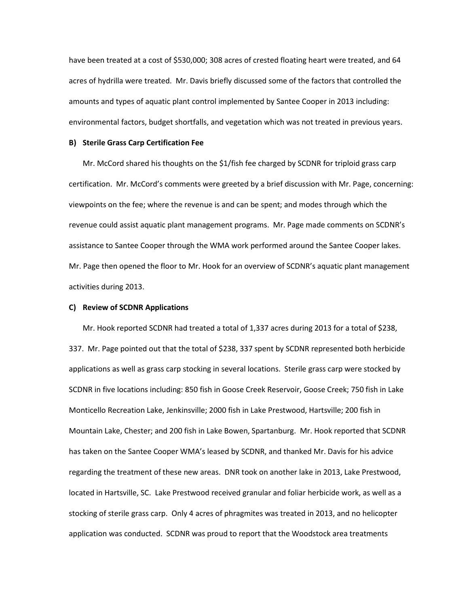have been treated at a cost of \$530,000; 308 acres of crested floating heart were treated, and 64 acres of hydrilla were treated. Mr. Davis briefly discussed some of the factors that controlled the amounts and types of aquatic plant control implemented by Santee Cooper in 2013 including: environmental factors, budget shortfalls, and vegetation which was not treated in previous years.

# **B) Sterile Grass Carp Certification Fee**

Mr. McCord shared his thoughts on the \$1/fish fee charged by SCDNR for triploid grass carp certification. Mr. McCord's comments were greeted by a brief discussion with Mr. Page, concerning: viewpoints on the fee; where the revenue is and can be spent; and modes through which the revenue could assist aquatic plant management programs. Mr. Page made comments on SCDNR's assistance to Santee Cooper through the WMA work performed around the Santee Cooper lakes. Mr. Page then opened the floor to Mr. Hook for an overview of SCDNR's aquatic plant management activities during 2013.

# **C) Review of SCDNR Applications**

Mr. Hook reported SCDNR had treated a total of 1,337 acres during 2013 for a total of \$238, 337. Mr. Page pointed out that the total of \$238, 337 spent by SCDNR represented both herbicide applications as well as grass carp stocking in several locations. Sterile grass carp were stocked by SCDNR in five locations including: 850 fish in Goose Creek Reservoir, Goose Creek; 750 fish in Lake Monticello Recreation Lake, Jenkinsville; 2000 fish in Lake Prestwood, Hartsville; 200 fish in Mountain Lake, Chester; and 200 fish in Lake Bowen, Spartanburg. Mr. Hook reported that SCDNR has taken on the Santee Cooper WMA's leased by SCDNR, and thanked Mr. Davis for his advice regarding the treatment of these new areas. DNR took on another lake in 2013, Lake Prestwood, located in Hartsville, SC. Lake Prestwood received granular and foliar herbicide work, as well as a stocking of sterile grass carp. Only 4 acres of phragmites was treated in 2013, and no helicopter application was conducted. SCDNR was proud to report that the Woodstock area treatments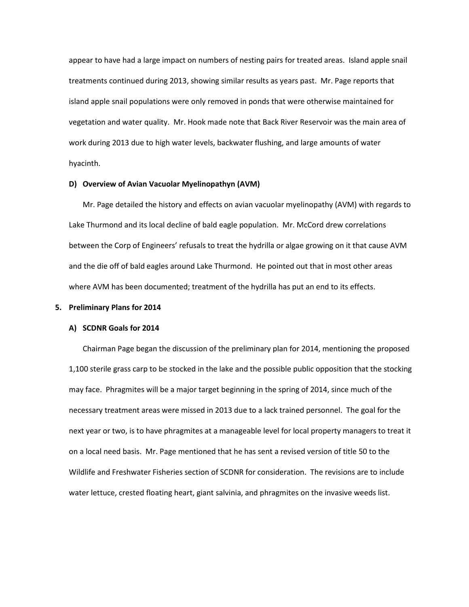appear to have had a large impact on numbers of nesting pairs for treated areas. Island apple snail treatments continued during 2013, showing similar results as years past. Mr. Page reports that island apple snail populations were only removed in ponds that were otherwise maintained for vegetation and water quality. Mr. Hook made note that Back River Reservoir was the main area of work during 2013 due to high water levels, backwater flushing, and large amounts of water hyacinth.

# **D) Overview of Avian Vacuolar Myelinopathyn (AVM)**

Mr. Page detailed the history and effects on avian vacuolar myelinopathy (AVM) with regards to Lake Thurmond and its local decline of bald eagle population. Mr. McCord drew correlations between the Corp of Engineers' refusals to treat the hydrilla or algae growing on it that cause AVM and the die off of bald eagles around Lake Thurmond. He pointed out that in most other areas where AVM has been documented; treatment of the hydrilla has put an end to its effects.

#### **5. Preliminary Plans for 2014**

#### **A) SCDNR Goals for 2014**

Chairman Page began the discussion of the preliminary plan for 2014, mentioning the proposed 1,100 sterile grass carp to be stocked in the lake and the possible public opposition that the stocking may face. Phragmites will be a major target beginning in the spring of 2014, since much of the necessary treatment areas were missed in 2013 due to a lack trained personnel. The goal for the next year or two, is to have phragmites at a manageable level for local property managers to treat it on a local need basis. Mr. Page mentioned that he has sent a revised version of title 50 to the Wildlife and Freshwater Fisheries section of SCDNR for consideration. The revisions are to include water lettuce, crested floating heart, giant salvinia, and phragmites on the invasive weeds list.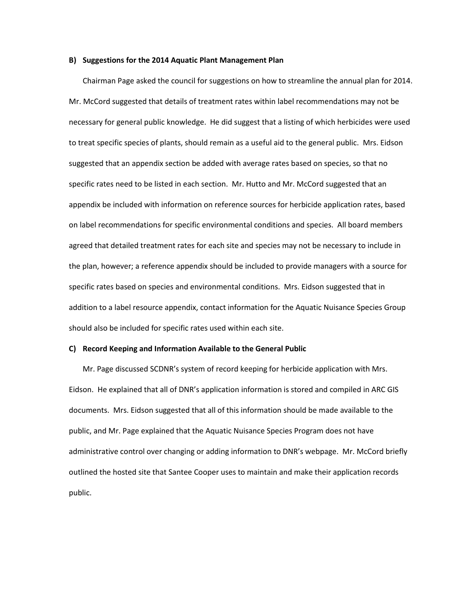### **B) Suggestions for the 2014 Aquatic Plant Management Plan**

Chairman Page asked the council for suggestions on how to streamline the annual plan for 2014. Mr. McCord suggested that details of treatment rates within label recommendations may not be necessary for general public knowledge. He did suggest that a listing of which herbicides were used to treat specific species of plants, should remain as a useful aid to the general public. Mrs. Eidson suggested that an appendix section be added with average rates based on species, so that no specific rates need to be listed in each section. Mr. Hutto and Mr. McCord suggested that an appendix be included with information on reference sources for herbicide application rates, based on label recommendations for specific environmental conditions and species. All board members agreed that detailed treatment rates for each site and species may not be necessary to include in the plan, however; a reference appendix should be included to provide managers with a source for specific rates based on species and environmental conditions. Mrs. Eidson suggested that in addition to a label resource appendix, contact information for the Aquatic Nuisance Species Group should also be included for specific rates used within each site.

#### **C) Record Keeping and Information Available to the General Public**

Mr. Page discussed SCDNR's system of record keeping for herbicide application with Mrs. Eidson. He explained that all of DNR's application information is stored and compiled in ARC GIS documents. Mrs. Eidson suggested that all of this information should be made available to the public, and Mr. Page explained that the Aquatic Nuisance Species Program does not have administrative control over changing or adding information to DNR's webpage. Mr. McCord briefly outlined the hosted site that Santee Cooper uses to maintain and make their application records public.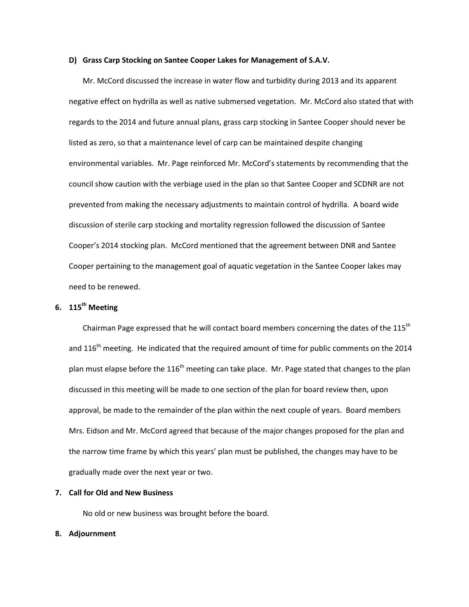### **D) Grass Carp Stocking on Santee Cooper Lakes for Management of S.A.V.**

Mr. McCord discussed the increase in water flow and turbidity during 2013 and its apparent negative effect on hydrilla as well as native submersed vegetation. Mr. McCord also stated that with regards to the 2014 and future annual plans, grass carp stocking in Santee Cooper should never be listed as zero, so that a maintenance level of carp can be maintained despite changing environmental variables. Mr. Page reinforced Mr. McCord's statements by recommending that the council show caution with the verbiage used in the plan so that Santee Cooper and SCDNR are not prevented from making the necessary adjustments to maintain control of hydrilla. A board wide discussion of sterile carp stocking and mortality regression followed the discussion of Santee Cooper's 2014 stocking plan. McCord mentioned that the agreement between DNR and Santee Cooper pertaining to the management goal of aquatic vegetation in the Santee Cooper lakes may need to be renewed.

# **6. 115th Meeting**

Chairman Page expressed that he will contact board members concerning the dates of the 115<sup>th</sup> and 116<sup>th</sup> meeting. He indicated that the required amount of time for public comments on the 2014 plan must elapse before the  $116<sup>th</sup>$  meeting can take place. Mr. Page stated that changes to the plan discussed in this meeting will be made to one section of the plan for board review then, upon approval, be made to the remainder of the plan within the next couple of years. Board members Mrs. Eidson and Mr. McCord agreed that because of the major changes proposed for the plan and the narrow time frame by which this years' plan must be published, the changes may have to be gradually made over the next year or two.

# **7. Call for Old and New Business**

No old or new business was brought before the board.

#### **8. Adjournment**